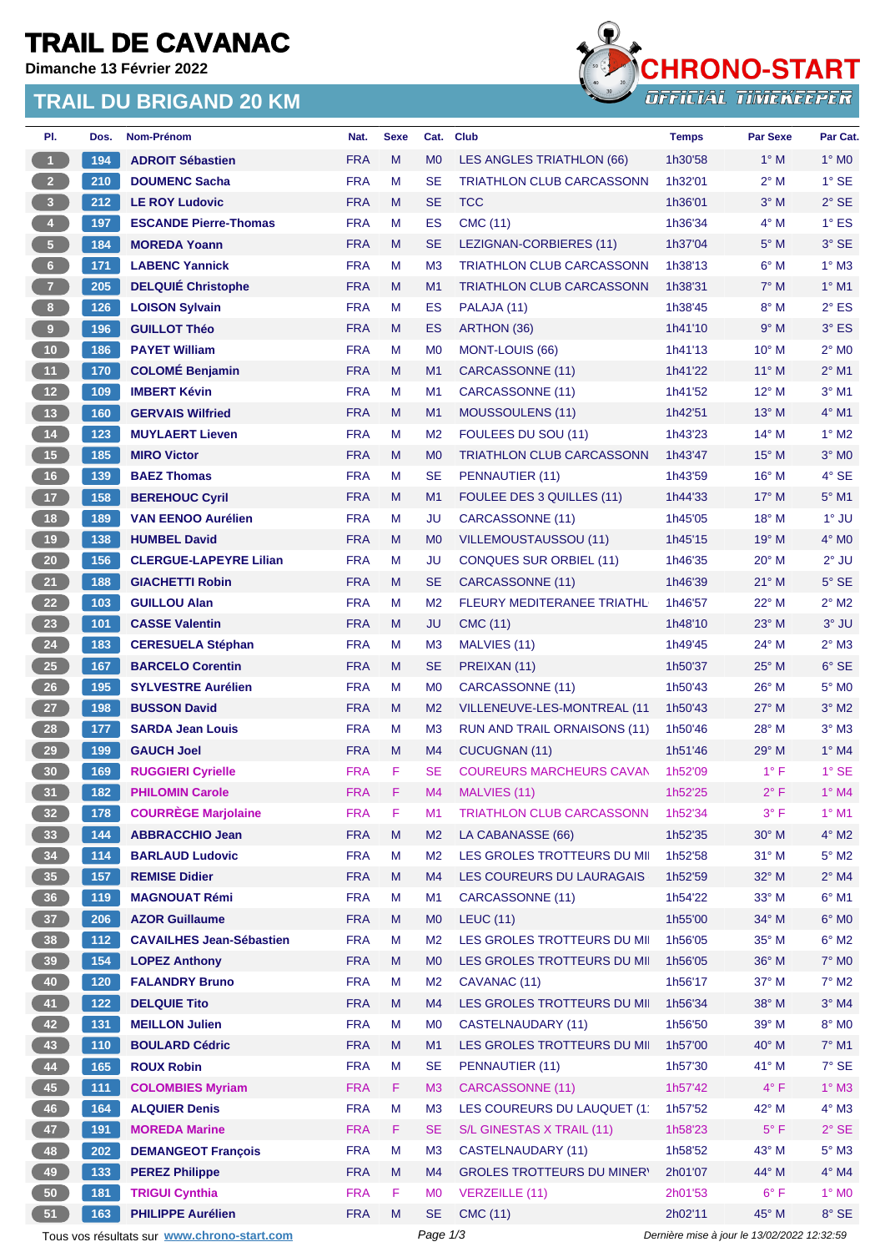# **TRAIL DE CAVANAC**

**Dimanche 13 Février 2022**

### **TRAIL DU BRIGAND 20 KM**



| PI.                   | Dos.       | Nom-Prénom                                  | Nat.                     | <b>Sexe</b> |                                             | Cat. Club                         | <b>Temps</b> | <b>Par Sexe</b> | Par Cat.                     |
|-----------------------|------------|---------------------------------------------|--------------------------|-------------|---------------------------------------------|-----------------------------------|--------------|-----------------|------------------------------|
| $\blacktriangleleft$  | 194        | <b>ADROIT Sébastien</b>                     | <b>FRA</b>               | M           | M <sub>0</sub>                              | LES ANGLES TRIATHLON (66)         | 1h30'58      | $1^\circ$ M     | $1^\circ$ MO                 |
| 2 <sup>7</sup>        | 210        | <b>DOUMENC Sacha</b>                        | <b>FRA</b>               | M           | <b>SE</b>                                   | <b>TRIATHLON CLUB CARCASSONN</b>  | 1h32'01      | $2^{\circ}$ M   | $1^\circ$ SE                 |
| 3 <sup>7</sup>        | 212        | <b>LE ROY Ludovic</b>                       | <b>FRA</b>               | M           | <b>SE</b>                                   | <b>TCC</b>                        | 1h36'01      | $3^\circ$ M     | $2°$ SE                      |
| $\bullet$             | 197        | <b>ESCANDE Pierre-Thomas</b>                | <b>FRA</b>               | M           | <b>ES</b>                                   | <b>CMC (11)</b>                   | 1h36'34      | $4^\circ$ M     | $1^\circ$ ES                 |
| 5 <sub>1</sub>        | 184        | <b>MOREDA Yoann</b>                         | <b>FRA</b>               | M           | <b>SE</b>                                   | LEZIGNAN-CORBIERES (11)           | 1h37'04      | $5^\circ$ M     | 3° SE                        |
| $6 -$                 | 171        | <b>LABENC Yannick</b>                       | <b>FRA</b>               | M           | M <sub>3</sub>                              | <b>TRIATHLON CLUB CARCASSONN</b>  | 1h38'13      | $6^\circ$ M     | $1^\circ$ M3                 |
| 7 <sup>7</sup>        | 205        | <b>DELQUIÉ Christophe</b>                   | <b>FRA</b>               | M           | M1                                          | <b>TRIATHLON CLUB CARCASSONN</b>  | 1h38'31      | $7^\circ$ M     | $1°$ M1                      |
| 8 <sub>1</sub>        | 126        | <b>LOISON Sylvain</b>                       | <b>FRA</b>               | м           | <b>ES</b>                                   | PALAJA (11)                       | 1h38'45      | $8^\circ$ M     | $2^{\circ}$ ES               |
| 9                     | 196        | <b>GUILLOT Théo</b>                         | <b>FRA</b>               | M           | <b>ES</b>                                   | ARTHON (36)                       | 1h41'10      | 9° M            | $3^\circ$ ES                 |
| $10$                  | 186        | <b>PAYET William</b>                        | <b>FRA</b>               | м           | M <sub>0</sub>                              | <b>MONT-LOUIS (66)</b>            | 1h41'13      | $10^{\circ}$ M  | $2^{\circ}$ MO               |
| 11                    | 170        | <b>COLOMÉ Benjamin</b>                      | <b>FRA</b>               | M           | M1                                          | CARCASSONNE (11)                  | 1h41'22      | $11^{\circ}$ M  | $2^{\circ}$ M1               |
| 12 <sup>7</sup>       | 109        | <b>IMBERT Kévin</b>                         | <b>FRA</b>               | м           | M <sub>1</sub>                              | CARCASSONNE (11)                  | 1h41'52      | $12^{\circ}$ M  | $3°$ M1                      |
| 13                    | 160        | <b>GERVAIS Wilfried</b>                     | <b>FRA</b>               | M           | M1                                          | MOUSSOULENS (11)                  | 1h42'51      | 13° M           | $4°$ M1                      |
| 14                    | 123        | <b>MUYLAERT Lieven</b>                      | <b>FRA</b>               | M           | M <sub>2</sub>                              | FOULEES DU SOU (11)               | 1h43'23      | $14^{\circ}$ M  | $1^\circ$ M2                 |
| 15                    | 185        | <b>MIRO Victor</b>                          | <b>FRA</b>               | M           | M <sub>0</sub>                              | TRIATHLON CLUB CARCASSONN         | 1h43'47      | $15^{\circ}$ M  | $3^\circ$ MO                 |
| 16                    | 139        | <b>BAEZ Thomas</b>                          | <b>FRA</b>               | M           | <b>SE</b>                                   | PENNAUTIER (11)                   | 1h43'59      | $16^{\circ}$ M  | $4°$ SE                      |
| 17 <sup>2</sup>       | 158        | <b>BEREHOUC Cyril</b>                       | <b>FRA</b>               | M           | M1                                          | FOULEE DES 3 QUILLES (11)         | 1h44'33      | 17° M           | $5^\circ$ M1                 |
| 18                    | 189        | <b>VAN EENOO Aurélien</b>                   | <b>FRA</b>               | м           | JU                                          | CARCASSONNE (11)                  | 1h45'05      | $18^{\circ}$ M  | 1° JU                        |
| 19                    | 138        | <b>HUMBEL David</b>                         | <b>FRA</b>               | M           | M <sub>0</sub>                              | <b>VILLEMOUSTAUSSOU (11)</b>      | 1h45'15      | 19° M           | $4^\circ$ MO                 |
| 20 <sub>2</sub>       | 156        | <b>CLERGUE-LAPEYRE Lilian</b>               | <b>FRA</b>               | M           | JU                                          | <b>CONQUES SUR ORBIEL (11)</b>    | 1h46'35      | 20° M           | $2^{\circ}$ JU               |
| 21                    | 188        | <b>GIACHETTI Robin</b>                      | <b>FRA</b>               | M           | <b>SE</b>                                   | CARCASSONNE (11)                  | 1h46'39      | $21^{\circ}$ M  | $5^\circ$ SE                 |
| 22                    | 103        | <b>GUILLOU Alan</b>                         | <b>FRA</b>               | M           | M <sub>2</sub>                              | FLEURY MEDITERANEE TRIATHL        | 1h46'57      | 22° M           | $2^{\circ}$ M2               |
| 23                    | 101        | <b>CASSE Valentin</b>                       | <b>FRA</b>               | M           | JU                                          | <b>CMC (11)</b>                   | 1h48'10      | $23^\circ$ M    | 3° JU                        |
| 24                    | 183        | <b>CERESUELA Stéphan</b>                    | <b>FRA</b>               | M           | M <sub>3</sub>                              | MALVIES (11)                      | 1h49'45      | 24° M           | $2^{\circ}$ M3               |
| 25                    | 167        | <b>BARCELO Corentin</b>                     | <b>FRA</b>               | M           | <b>SE</b>                                   | PREIXAN (11)                      | 1h50'37      | $25^{\circ}$ M  | $6°$ SE                      |
| 26                    | 195        | <b>SYLVESTRE Aurélien</b>                   | <b>FRA</b>               | M           | M <sub>0</sub>                              | CARCASSONNE (11)                  | 1h50'43      | $26^{\circ}$ M  | $5^\circ$ MO                 |
| 27                    | 198        | <b>BUSSON David</b>                         | <b>FRA</b>               | M           | M <sub>2</sub>                              | VILLENEUVE-LES-MONTREAL (11       | 1h50'43      | $27^\circ$ M    | $3°$ M2                      |
| 28                    | 177        | <b>SARDA Jean Louis</b>                     | <b>FRA</b>               | м           | M <sub>3</sub>                              | RUN AND TRAIL ORNAISONS (11)      | 1h50'46      | 28° M           | $3^\circ$ M3                 |
| 29                    | 199        | <b>GAUCH Joel</b>                           | <b>FRA</b>               | M           | M4                                          | <b>CUCUGNAN (11)</b>              | 1h51'46      | $29^\circ$ M    | $1^\circ$ M4                 |
| 30 <sub>o</sub>       | 169        | <b>RUGGIERI Cyrielle</b>                    | <b>FRA</b>               | F           | <b>SE</b>                                   | <b>COUREURS MARCHEURS CAVAN</b>   | 1h52'09      | $1^{\circ}$ F   | $1^\circ$ SE                 |
| 31                    | 182        | <b>PHILOMIN Carole</b>                      | <b>FRA</b>               | F           | M4                                          | MALVIES (11)                      | 1h52'25      | $2^{\circ}$ F   | $1°$ M4                      |
| 32 <sub>2</sub>       | 178        | <b>COURRÈGE Marjolaine</b>                  | <b>FRA</b>               | F           | M1                                          | <b>TRIATHLON CLUB CARCASSONN</b>  | 1h52'34      | $3^{\circ}$ F   | $1°$ M1                      |
| 33 <sup>°</sup>       | 144        | <b>ABBRACCHIO Jean</b>                      | <b>FRA</b>               | M           | M <sub>2</sub>                              | LA CABANASSE (66)                 | 1h52'35      | $30^\circ$ M    | $4^\circ$ M2                 |
|                       | 114        | <b>BARLAUD Ludovic</b>                      | <b>FRA</b>               | M           | M <sub>2</sub>                              | LES GROLES TROTTEURS DU MII       | 1h52'58      | $31^\circ$ M    | $5^\circ$ M2                 |
| 34<br>35 <sup>°</sup> | 157        | <b>REMISE Didier</b>                        | <b>FRA</b>               | M           | M4                                          | LES COUREURS DU LAURAGAIS         | 1h52'59      | 32° M           | $2^{\circ}$ M4               |
| 36 <sup>°</sup>       |            | <b>MAGNOUAT Rémi</b>                        | <b>FRA</b>               | M           | M1                                          | CARCASSONNE (11)                  | 1h54'22      | 33° M           | $6^{\circ}$ M1               |
|                       | 119<br>206 | <b>AZOR Guillaume</b>                       | <b>FRA</b>               | M           | M <sub>0</sub>                              |                                   | 1h55'00      | 34° M           | $6^\circ$ MO                 |
| 37 <sup>°</sup>       |            |                                             |                          |             |                                             | <b>LEUC (11)</b>                  |              |                 |                              |
| 38                    | $112$      | <b>CAVAILHES Jean-Sébastien</b>             | <b>FRA</b>               | M           | M <sub>2</sub>                              | LES GROLES TROTTEURS DU MII       | 1h56'05      | 35° M           | $6^{\circ}$ M2               |
| 39                    | 154        | <b>LOPEZ Anthony</b>                        | <b>FRA</b><br><b>FRA</b> | M           | M <sub>0</sub>                              | LES GROLES TROTTEURS DU MI        | 1h56'05      | 36° M           | $7^\circ$ MO<br>$7^\circ$ M2 |
| $40\,$                | 120        | <b>FALANDRY Bruno</b>                       |                          | M           | M <sub>2</sub>                              | CAVANAC (11)                      | 1h56'17      | 37° M           |                              |
| 41                    | $122$      | <b>DELQUIE Tito</b>                         | <b>FRA</b>               | M           | M4                                          | LES GROLES TROTTEURS DU MI        | 1h56'34      | 38° M           | $3^\circ$ M4                 |
| 42                    | 131        | <b>MEILLON Julien</b>                       | <b>FRA</b>               | M           | M <sub>0</sub>                              | <b>CASTELNAUDARY (11)</b>         | 1h56'50      | 39° M           | $8^\circ$ MO                 |
| 43                    | 110        | <b>BOULARD Cédric</b>                       | <b>FRA</b>               | M           | M1                                          | LES GROLES TROTTEURS DU MI        | 1h57'00      | 40° M           | $7^\circ$ M1                 |
| 44                    | 165        | <b>ROUX Robin</b>                           | <b>FRA</b>               | M           | <b>SE</b>                                   | PENNAUTIER (11)                   | 1h57'30      | 41° M           | $7^\circ$ SE                 |
| 45                    | 111        | <b>COLOMBIES Myriam</b>                     | <b>FRA</b>               | F.          | M <sub>3</sub>                              | CARCASSONNE (11)                  | 1h57'42      | $4^{\circ}$ F   | $1^\circ$ M3                 |
| 46                    | 164        | <b>ALQUIER Denis</b>                        | <b>FRA</b>               | M           | M <sub>3</sub>                              | LES COUREURS DU LAUQUET (11       | 1h57'52      | 42° M           | $4^\circ$ M3                 |
| 47                    | 191        | <b>MOREDA Marine</b>                        | <b>FRA</b>               | F.          | <b>SE</b>                                   | S/L GINESTAS X TRAIL (11)         | 1h58'23      | $5^{\circ}$ F   | $2^{\circ}$ SE               |
| 48                    | 202        | <b>DEMANGEOT François</b>                   | <b>FRA</b>               | M           | M <sub>3</sub>                              | <b>CASTELNAUDARY (11)</b>         | 1h58'52      | 43° M           | $5^\circ$ M3                 |
| 49                    | 133        | <b>PEREZ Philippe</b>                       | <b>FRA</b>               | M           | M4                                          | <b>GROLES TROTTEURS DU MINER'</b> | 2h01'07      | 44° M           | $4^\circ$ M4                 |
| 50                    | 181        | <b>TRIGUI Cynthia</b>                       | <b>FRA</b>               | F           | M <sub>0</sub>                              | <b>VERZEILLE (11)</b>             | 2h01'53      | $6^{\circ}$ F   | $1^\circ$ MO                 |
| 51                    | 163        | <b>PHILIPPE Aurélien</b>                    | <b>FRA</b>               | M           | <b>SE</b>                                   | CMC (11)                          | 2h02'11      | 45° M           | $8^\circ$ SE                 |
|                       |            | Tous vos résultats sur www.chrono-start.com |                          | Page 1/3    | Dernière mise à jour le 13/02/2022 12:32:59 |                                   |              |                 |                              |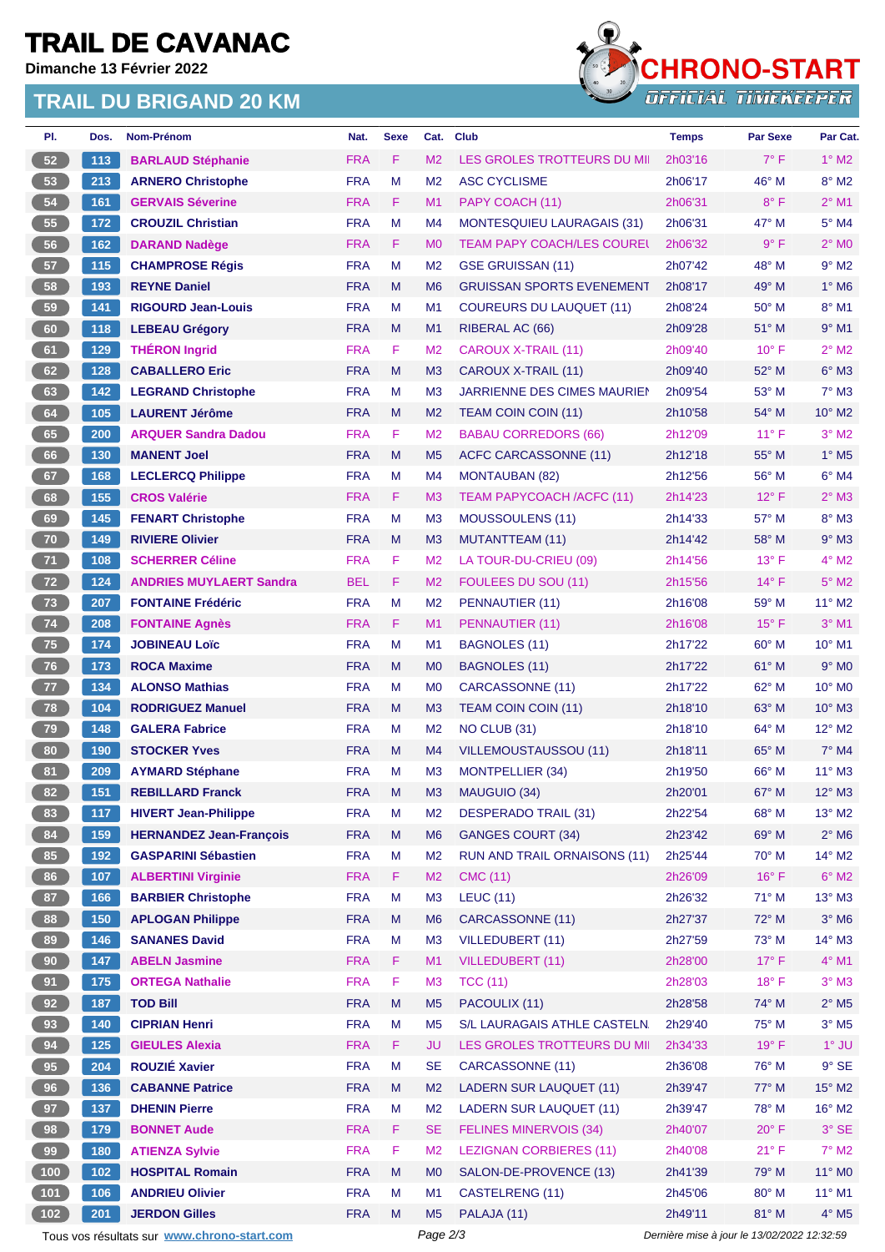# **TRAIL DE CAVANAC**

**Dimanche 13 Février 2022**

#### **TRAIL DU BRIGAND 20 KM**



| PI.             | Dos.  | <b>Nom-Prénom</b>                           | Nat.       | <b>Sexe</b> | Cat.           | <b>Club</b>                         | <b>Temps</b> | <b>Par Sexe</b>                             | Par Cat.                    |
|-----------------|-------|---------------------------------------------|------------|-------------|----------------|-------------------------------------|--------------|---------------------------------------------|-----------------------------|
| 52              | 113   | <b>BARLAUD Stéphanie</b>                    | <b>FRA</b> | F.          | M <sub>2</sub> | LES GROLES TROTTEURS DU MI          | 2h03'16      | $7^\circ$ F                                 | $1^\circ$ M2                |
| 53              | 213   | <b>ARNERO Christophe</b>                    | <b>FRA</b> | M           | M <sub>2</sub> | <b>ASC CYCLISME</b>                 | 2h06'17      | 46° M                                       | $8^\circ$ M2                |
| 54              | 161   | <b>GERVAIS Séverine</b>                     | <b>FRA</b> | F.          | M1             | PAPY COACH (11)                     | 2h06'31      | $8^{\circ}$ F                               | $2^{\circ}$ M1              |
| 55              | 172   | <b>CROUZIL Christian</b>                    | <b>FRA</b> | M           | M <sub>4</sub> | <b>MONTESQUIEU LAURAGAIS (31)</b>   | 2h06'31      | $47^\circ$ M                                | $5^\circ$ M4                |
| 56              | 162   | <b>DARAND Nadège</b>                        | <b>FRA</b> | F.          | M <sub>0</sub> | <b>TEAM PAPY COACH/LES COUREL</b>   | 2h06'32      | $9^{\circ}$ F                               | $2^{\circ}$ MO              |
| 57              | 115   | <b>CHAMPROSE Régis</b>                      | <b>FRA</b> | М           | M <sub>2</sub> | GSE GRUISSAN (11)                   | 2h07'42      | 48° M                                       | $9°$ M <sub>2</sub>         |
| 58              | 193   | <b>REYNE Daniel</b>                         | <b>FRA</b> | M           | M <sub>6</sub> | <b>GRUISSAN SPORTS EVENEMENT</b>    | 2h08'17      | 49° M                                       | $1^\circ$ M <sub>6</sub>    |
| 59              | 141   | <b>RIGOURD Jean-Louis</b>                   | <b>FRA</b> | м           | M1             | <b>COUREURS DU LAUQUET (11)</b>     | 2h08'24      | $50^\circ$ M                                | $8^\circ$ M1                |
| 60              | 118   | <b>LEBEAU Grégory</b>                       | <b>FRA</b> | M           | M1             | RIBERAL AC (66)                     | 2h09'28      | 51° M                                       | $9°$ M1                     |
| 61              | 129   | <b>THÉRON Ingrid</b>                        | <b>FRA</b> | F           | M <sub>2</sub> | <b>CAROUX X-TRAIL (11)</b>          | 2h09'40      | $10^{\circ}$ F                              | $2^{\circ}$ M2              |
| 62              | 128   | <b>CABALLERO Eric</b>                       | <b>FRA</b> | M           | M <sub>3</sub> | CAROUX X-TRAIL (11)                 | 2h09'40      | $52^{\circ}$ M                              | $6^\circ$ M3                |
| 63              | 142   | <b>LEGRAND Christophe</b>                   | <b>FRA</b> | М           | M <sub>3</sub> | JARRIENNE DES CIMES MAURIEN         | 2h09'54      | $53^\circ$ M                                | $7^\circ$ M3                |
| 64              | $105$ | <b>LAURENT Jérôme</b>                       | <b>FRA</b> | M           | M <sub>2</sub> | TEAM COIN COIN (11)                 | 2h10'58      | 54° M                                       | $10^{\circ}$ M <sub>2</sub> |
| 65              | 200   | <b>ARQUER Sandra Dadou</b>                  | <b>FRA</b> | F           | M <sub>2</sub> | <b>BABAU CORREDORS (66)</b>         | 2h12'09      | $11^{\circ}$ F                              | $3°$ M2                     |
| 66              | 130   | <b>MANENT Joel</b>                          | <b>FRA</b> | M           | M <sub>5</sub> | ACFC CARCASSONNE (11)               | 2h12'18      | $55^{\circ}$ M                              | $1^\circ$ M <sub>5</sub>    |
| 67              | 168   | <b>LECLERCQ Philippe</b>                    | <b>FRA</b> | M           | M4             | <b>MONTAUBAN (82)</b>               | 2h12'56      | 56° M                                       | $6°$ M4                     |
| 68              | 155   | <b>CROS Valérie</b>                         | <b>FRA</b> | F.          | M <sub>3</sub> | <b>TEAM PAPYCOACH /ACFC (11)</b>    | 2h14'23      | $12^{\circ}$ F                              | $2^{\circ}$ M3              |
| 69              | $145$ | <b>FENART Christophe</b>                    | <b>FRA</b> | M           | M <sub>3</sub> | MOUSSOULENS (11)                    | 2h14'33      | 57° M                                       | $8^\circ$ M3                |
| $70$            | 149   | <b>RIVIERE Olivier</b>                      | <b>FRA</b> | M           | M <sub>3</sub> | <b>MUTANTTEAM (11)</b>              | 2h14'42      | $58^\circ$ M                                | $9°$ M3                     |
| 71              | 108   | <b>SCHERRER Céline</b>                      | <b>FRA</b> | F.          | M <sub>2</sub> | LA TOUR-DU-CRIEU (09)               | 2h14'56      | $13^{\circ}$ F                              | $4^\circ$ M2                |
| 72              | 124   | <b>ANDRIES MUYLAERT Sandra</b>              | <b>BEL</b> | F.          | M <sub>2</sub> | FOULEES DU SOU (11)                 | 2h15'56      | $14^{\circ}$ F                              | $5^\circ$ M2                |
| 73              | 207   | <b>FONTAINE Frédéric</b>                    | <b>FRA</b> | M           | M <sub>2</sub> | PENNAUTIER (11)                     | 2h16'08      | 59° M                                       | $11^{\circ}$ M2             |
| 74              | 208   | <b>FONTAINE Agnès</b>                       | <b>FRA</b> | F.          | M1             | PENNAUTIER (11)                     | 2h16'08      | $15^{\circ}$ F                              | $3°$ M1                     |
| ${\bf 75}$      | 174   | <b>JOBINEAU Loïc</b>                        | <b>FRA</b> | M           | M1             | <b>BAGNOLES (11)</b>                | 2h17'22      | $60^\circ$ M                                | $10^{\circ}$ M1             |
| 76              | 173   | <b>ROCA Maxime</b>                          | <b>FRA</b> | M           | M <sub>0</sub> | <b>BAGNOLES (11)</b>                | 2h17'22      | 61° M                                       | $9°$ M <sub>0</sub>         |
| 77              | 134   | <b>ALONSO Mathias</b>                       | <b>FRA</b> | м           | M <sub>0</sub> | CARCASSONNE (11)                    | 2h17'22      | $62^{\circ}$ M                              | $10^{\circ}$ M <sub>0</sub> |
| 78              | 104   | <b>RODRIGUEZ Manuel</b>                     | <b>FRA</b> | M           | M <sub>3</sub> | <b>TEAM COIN COIN (11)</b>          | 2h18'10      | $63^\circ$ M                                | $10^{\circ}$ M3             |
| 79              | 148   | <b>GALERA Fabrice</b>                       | <b>FRA</b> | М           | M <sub>2</sub> | NO CLUB (31)                        | 2h18'10      | 64° M                                       | $12^{\circ}$ M2             |
| 80              | 190   | <b>STOCKER Yves</b>                         | <b>FRA</b> | M           | M4             | VILLEMOUSTAUSSOU (11)               | 2h18'11      | 65° M                                       | $7^\circ$ M4                |
| 81              | 209   | <b>AYMARD Stéphane</b>                      | <b>FRA</b> | м           | M <sub>3</sub> | <b>MONTPELLIER (34)</b>             | 2h19'50      | $66^{\circ}$ M                              | $11^{\circ}$ M3             |
| 82)             | 151   | <b>REBILLARD Franck</b>                     | <b>FRA</b> | M           | M <sub>3</sub> | MAUGUIO (34)                        | 2h20'01      | 67° M                                       | $12^{\circ}$ M3             |
| 83              | 117   | <b>HIVERT Jean-Philippe</b>                 | <b>FRA</b> | М           | M <sub>2</sub> | DESPERADO TRAIL (31)                | 2h22'54      | 68° M                                       | $13^\circ$ M2               |
| 84              | 159   | <b>HERNANDEZ Jean-François</b>              | <b>FRA</b> | M           | M <sub>6</sub> | <b>GANGES COURT (34)</b>            | 2h23'42      | 69° M                                       | $2^{\circ}$ M6              |
| 85              | 192   | <b>GASPARINI Sébastien</b>                  | <b>FRA</b> | M           | M <sub>2</sub> | <b>RUN AND TRAIL ORNAISONS (11)</b> | 2h25'44      | 70° M                                       | $14^{\circ}$ M2             |
| 86              | 107   | <b>ALBERTINI Virginie</b>                   | <b>FRA</b> | F.          | M2             | <b>CMC (11)</b>                     | 2h26'09      | $16^{\circ}$ F                              | $6^\circ$ M2                |
| 87              | 166   | <b>BARBIER Christophe</b>                   | <b>FRA</b> | M           | M <sub>3</sub> | <b>LEUC (11)</b>                    | 2h26'32      | 71° M                                       | $13^\circ$ M3               |
| 88              | 150   | <b>APLOGAN Philippe</b>                     | <b>FRA</b> | M           | M <sub>6</sub> | CARCASSONNE (11)                    | 2h27'37      | 72° M                                       | $3°$ M <sub>6</sub>         |
| 89              | 146   | <b>SANANES David</b>                        | <b>FRA</b> | M           | M <sub>3</sub> | <b>VILLEDUBERT (11)</b>             | 2h27'59      | $73^\circ$ M                                | 14° M3                      |
| 90 <sub>o</sub> | 147   | <b>ABELN Jasmine</b>                        | <b>FRA</b> | F.          | M1             | <b>VILLEDUBERT (11)</b>             | 2h28'00      | $17^{\circ}$ F                              | $4^\circ$ M1                |
| 91              | 175   | <b>ORTEGA Nathalie</b>                      | <b>FRA</b> | F.          | M <sub>3</sub> | <b>TCC (11)</b>                     | 2h28'03      | 18°F                                        | $3°$ M3                     |
| 92              | 187   | <b>TOD Bill</b>                             | <b>FRA</b> | M           | M <sub>5</sub> | PACOULIX (11)                       | 2h28'58      | 74° M                                       | $2^{\circ}$ M <sub>5</sub>  |
| 93              | 140   | <b>CIPRIAN Henri</b>                        | <b>FRA</b> | M           | M <sub>5</sub> | S/L LAURAGAIS ATHLE CASTELN.        | 2h29'40      | 75° M                                       | $3^\circ$ M5                |
| 94              | $125$ | <b>GIEULES Alexia</b>                       | <b>FRA</b> | F.          | JU             | LES GROLES TROTTEURS DU MI          | 2h34'33      | $19°$ F                                     | $1^\circ$ JU                |
| 95              | 204   | <b>ROUZIÉ Xavier</b>                        | <b>FRA</b> | М           | <b>SE</b>      | CARCASSONNE (11)                    | 2h36'08      | 76° M                                       | $9°$ SE                     |
| 96              | 136   | <b>CABANNE Patrice</b>                      | <b>FRA</b> | M           | M <sub>2</sub> | <b>LADERN SUR LAUQUET (11)</b>      | 2h39'47      | 77° M                                       | 15° M2                      |
| 97              | 137   | <b>DHENIN Pierre</b>                        | <b>FRA</b> | М           | M2             | LADERN SUR LAUQUET (11)             | 2h39'47      | 78° M                                       | $16^{\circ}$ M2             |
| 98              | 179   | <b>BONNET Aude</b>                          | <b>FRA</b> | F.          | <b>SE</b>      | <b>FELINES MINERVOIS (34)</b>       | 2h40'07      | $20^{\circ}$ F                              | 3° SE                       |
| 99              | 180   | <b>ATIENZA Sylvie</b>                       | <b>FRA</b> | F           | M <sub>2</sub> | <b>LEZIGNAN CORBIERES (11)</b>      | 2h40'08      | $21^{\circ}$ F                              | $7^\circ$ M2                |
| $100$           | 102   | <b>HOSPITAL Romain</b>                      | <b>FRA</b> | M           | M <sub>0</sub> | SALON-DE-PROVENCE (13)              | 2h41'39      | 79° M                                       | 11° MO                      |
| $101$           | 106   | <b>ANDRIEU Olivier</b>                      | <b>FRA</b> | М           | M1             | CASTELRENG (11)                     | 2h45'06      | 80° M                                       | $11^{\circ}$ M1             |
| $102$           | 201   | <b>JERDON Gilles</b>                        | <b>FRA</b> | M           | M <sub>5</sub> | PALAJA (11)                         | 2h49'11      | 81° M                                       | $4^\circ$ M <sub>5</sub>    |
|                 |       | Tous vos résultats sur www.chrono-start.com |            |             | Page 2/3       |                                     |              | Dernière mise à jour le 13/02/2022 12:32:59 |                             |